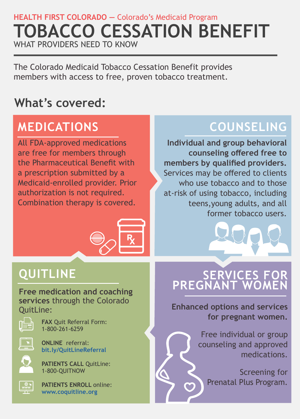### **HEALTH FIRST COLORADO —** Colorado's Medicaid Program **TOBACCO CESSATION BENEFIT** WHAT PROVIDERS NEED TO KNOW

The Colorado Medicaid Tobacco Cessation Benefit provides members with access to free, proven tobacco treatment.

### **What's covered:**

# **MEDICATIONS**

All FDA-approved medications are free for members through the Pharmaceutical Benefit with a prescription submitted by a Medicaid-enrolled provider. Prior authorization is not required. Combination therapy is covered.



### **QUITLINE**

**Free medication and coaching services** through the Colorado QuitLine:



**FAX** Quit Referral Form: 1-800-261-6259



**ONLINE** referral: **[bit.ly/QuitLineReferral](https://colorado.quitlogix.org/en-US/Just-Looking/Health-Professional/How-to-Refer-Patients)**

**PATIENTS CALL QuitLine:** 1-800-QUITNOW



**PATIENTS ENROLL** online: **[www.coquitline.org](https://www.coquitline.org/en-US/)**

# **COUNSELING**

**Individual and group behavioral counseling offered free to members by qualified providers.**  Services may be offered to clients who use tobacco and to those at-risk of using tobacco, including teens,young adults, and all former tobacco users.

### **SERVICES FOR PREGNANT WOMEN**

**Enhanced options and services for pregnant women.**

> Free individual or group counseling and approved medications.

Screening for Prenatal Plus Program.